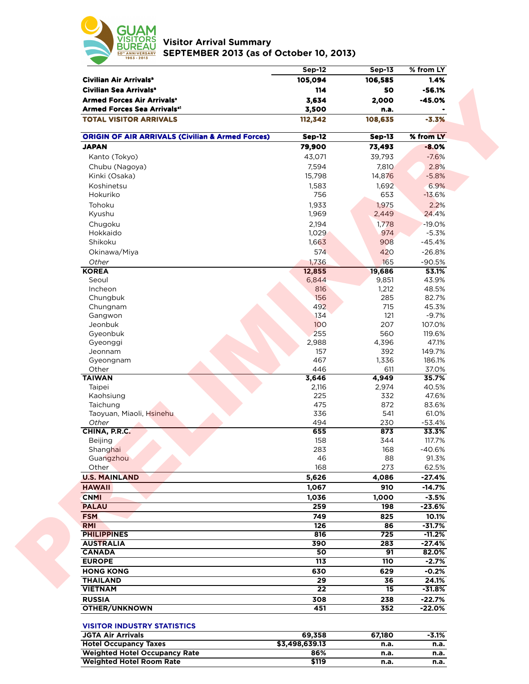

**Visitor Arrival Summary SEPTEMBER 2013 (as of October 10, 2013)** 

|                                                             | <b>Sep-12</b>  | <b>Sep-13</b> | % from LY |
|-------------------------------------------------------------|----------------|---------------|-----------|
| Civilian Air Arrivals <sup>a</sup>                          | 105,094        | 106,585       | 1.4%      |
| Civilian Sea Arrivals <sup>a</sup>                          | 114            | 50            | $-56.1%$  |
| <b>Armed Forces Air Arrivals<sup>®</sup></b>                | 3,634          | 2,000         | $-45.0%$  |
| <b>Armed Forces Sea Arrivalsal</b>                          | 3,500          | n.a.          |           |
| <b>TOTAL VISITOR ARRIVALS</b>                               | 112,342        | 108,635       | $-3.3%$   |
| <b>ORIGIN OF AIR ARRIVALS (Civilian &amp; Armed Forces)</b> | <b>Sep-12</b>  | <b>Sep-13</b> | % from LY |
| <b>JAPAN</b>                                                | 79,900         | 73,493        | $-8.0%$   |
| Kanto (Tokyo)                                               | 43,071         | 39,793        | $-7.6%$   |
| Chubu (Nagoya)                                              | 7,594          | 7,810         | 2.8%      |
| Kinki (Osaka)                                               | 15,798         | 14,876        | $-5.8%$   |
| Koshinetsu                                                  |                |               |           |
|                                                             | 1,583          | 1,692         | 6.9%      |
| Hokuriko                                                    | 756            | 653           | $-13.6%$  |
| Tohoku                                                      | 1,933          | 1,975         | 2.2%      |
| Kyushu                                                      | 1,969          | 2,449         | 24.4%     |
| Chugoku                                                     | 2,194          | 1,778         | $-19.0%$  |
| Hokkaido                                                    | 1,029          | 974           | $-5.3%$   |
| Shikoku                                                     | 1,663          | 908           | $-45.4%$  |
| Okinawa/Miya                                                | 574            | 420           | $-26.8%$  |
| Other                                                       | 1,736          | 165           | $-90.5%$  |
| <b>KOREA</b>                                                | 12,855         | 19,686        | 53.1%     |
| Seoul                                                       | 6,844          | 9,851         | 43.9%     |
| Incheon                                                     | 816            | 1,212         | 48.5%     |
| Chungbuk                                                    | 156            | 285           | 82.7%     |
| Chungnam                                                    | 492            | 715           | 45.3%     |
| Gangwon                                                     | 134            | 121           | $-9.7%$   |
| Jeonbuk                                                     | 100            | 207           | 107.0%    |
| Gyeonbuk                                                    | 255            | 560           | 119.6%    |
| Gyeonggi                                                    | 2,988          | 4,396         | 47.1%     |
| Jeonnam                                                     | 157            | 392           | 149.7%    |
| Gyeongnam                                                   | 467            | 1,336         | 186.1%    |
| Other                                                       | 446            | 611           | 37.0%     |
| <b>TAIWAN</b>                                               | 3,646          | 4,949         | 35.7%     |
| Taipei                                                      | 2,116          | 2,974         | 40.5%     |
| Kaohsiung                                                   | 225            | 332           | 47.6%     |
| Taichung                                                    | 475            | 872           | 83.6%     |
| Taoyuan, Miaoli, Hsinehu                                    | 336            | 541           | 61.0%     |
| Other                                                       | 494            | 230           | $-53.4%$  |
| CHINA, P.R.C.                                               | 655            | 873           | 33.3%     |
| Beijing                                                     | 158            | 344           | 117.7%    |
| Shanghai                                                    | 283            | 168           | $-40.6%$  |
| Guangzhou                                                   | 46             | 88            | 91.3%     |
| Other                                                       | 168            | 273           | 62.5%     |
| <b>U.S. MAINLAND</b>                                        | 5,626          | 4,086         | $-27.4%$  |
|                                                             |                |               |           |
| <b>HAWAII</b>                                               | 1,067          | 910           | $-14.7%$  |
| <b>CNMI</b>                                                 | 1,036          | 1,000         | $-3.5%$   |
| <b>PALAU</b>                                                | 259            | 198           | $-23.6%$  |
| <b>FSM</b>                                                  | 749            | 825           | 10.1%     |
| <b>RMI</b>                                                  | 126            | 86            | $-31.7%$  |
| <b>PHILIPPINES</b>                                          | 816            | 725           | $-11.2%$  |
| <b>AUSTRALIA</b>                                            | 390            | 283           | $-27.4%$  |
| <b>CANADA</b>                                               | 50             | 91            | 82.0%     |
| <b>EUROPE</b>                                               | 113            | 110           | $-2.7%$   |
| <b>HONG KONG</b>                                            | 630            | 629           | $-0.2%$   |
| <b>THAILAND</b>                                             | 29             | 36            | 24.1%     |
| <b>VIETNAM</b>                                              | 22             | 15            | $-31.8%$  |
| <b>RUSSIA</b>                                               | 308            | 238           | $-22.7%$  |
| <b>OTHER/UNKNOWN</b>                                        | 451            | 352           | $-22.0%$  |
| <b>VISITOR INDUSTRY STATISTICS</b>                          |                |               |           |
| <b>JGTA Air Arrivals</b>                                    | 69,358         | 67,180        | $-3.1%$   |
| <b>Hotel Occupancy Taxes</b>                                | \$3,498,639.13 | n.a.          | n.a.      |
| <b>Weighted Hotel Occupancy Rate</b>                        | 86%            | n.a.          | n.a.      |
| <b>Weighted Hotel Room Rate</b>                             | \$119          | n.a.          | n.a.      |
|                                                             |                |               |           |